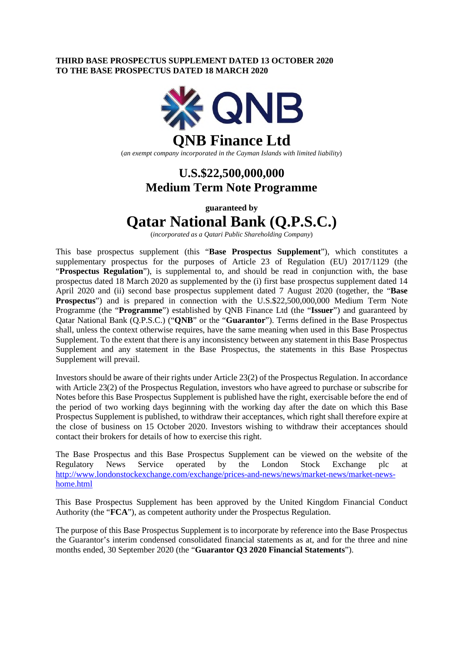### **THIRD BASE PROSPECTUS SUPPLEMENT DATED 13 OCTOBER 2020 TO THE BASE PROSPECTUS DATED 18 MARCH 2020**



(*an exempt company incorporated in the Cayman Islands with limited liability*)

## **U.S.\$22,500,000,000 Medium Term Note Programme**

**guaranteed by** 

# **Qatar National Bank (Q.P.S.C.)**

(*incorporated as a Qatari Public Shareholding Company*)

This base prospectus supplement (this "**Base Prospectus Supplement**"), which constitutes a supplementary prospectus for the purposes of Article 23 of Regulation (EU) 2017/1129 (the "**Prospectus Regulation**"), is supplemental to, and should be read in conjunction with, the base prospectus dated 18 March 2020 as supplemented by the (i) first base prospectus supplement dated 14 April 2020 and (ii) second base prospectus supplement dated 7 August 2020 (together, the "**Base Prospectus**") and is prepared in connection with the U.S.\$22,500,000,000 Medium Term Note Programme (the "**Programme**") established by QNB Finance Ltd (the "**Issuer**") and guaranteed by Qatar National Bank (Q.P.S.C.) ("**QNB**" or the "**Guarantor**"). Terms defined in the Base Prospectus shall, unless the context otherwise requires, have the same meaning when used in this Base Prospectus Supplement. To the extent that there is any inconsistency between any statement in this Base Prospectus Supplement and any statement in the Base Prospectus, the statements in this Base Prospectus Supplement will prevail.

Investors should be aware of their rights under Article 23(2) of the Prospectus Regulation. In accordance with Article 23(2) of the Prospectus Regulation, investors who have agreed to purchase or subscribe for Notes before this Base Prospectus Supplement is published have the right, exercisable before the end of the period of two working days beginning with the working day after the date on which this Base Prospectus Supplement is published, to withdraw their acceptances, which right shall therefore expire at the close of business on 15 October 2020. Investors wishing to withdraw their acceptances should contact their brokers for details of how to exercise this right.

The Base Prospectus and this Base Prospectus Supplement can be viewed on the website of the Regulatory News Service operated by the London Stock Exchange plc at [http://www.londonstockexchange.com/exchange/prices-and-news/news/market-news/market-news](http://www.londonstockexchange.com/exchange/prices-and-news/news/market-news/market-news-home.html)[home.html](http://www.londonstockexchange.com/exchange/prices-and-news/news/market-news/market-news-home.html)

This Base Prospectus Supplement has been approved by the United Kingdom Financial Conduct Authority (the "**FCA**"), as competent authority under the Prospectus Regulation.

The purpose of this Base Prospectus Supplement is to incorporate by reference into the Base Prospectus the Guarantor's interim condensed consolidated financial statements as at, and for the three and nine months ended, 30 September 2020 (the "**Guarantor Q3 2020 Financial Statements**").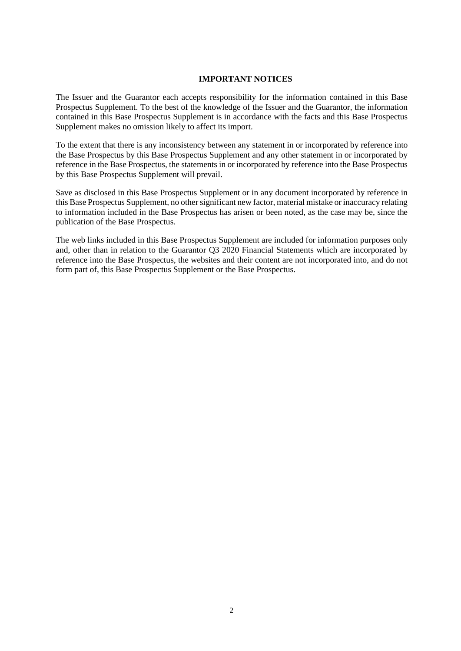### **IMPORTANT NOTICES**

The Issuer and the Guarantor each accepts responsibility for the information contained in this Base Prospectus Supplement. To the best of the knowledge of the Issuer and the Guarantor, the information contained in this Base Prospectus Supplement is in accordance with the facts and this Base Prospectus Supplement makes no omission likely to affect its import.

To the extent that there is any inconsistency between any statement in or incorporated by reference into the Base Prospectus by this Base Prospectus Supplement and any other statement in or incorporated by reference in the Base Prospectus, the statements in or incorporated by reference into the Base Prospectus by this Base Prospectus Supplement will prevail.

Save as disclosed in this Base Prospectus Supplement or in any document incorporated by reference in this Base Prospectus Supplement, no other significant new factor, material mistake or inaccuracy relating to information included in the Base Prospectus has arisen or been noted, as the case may be, since the publication of the Base Prospectus.

The web links included in this Base Prospectus Supplement are included for information purposes only and, other than in relation to the Guarantor Q3 2020 Financial Statements which are incorporated by reference into the Base Prospectus, the websites and their content are not incorporated into, and do not form part of, this Base Prospectus Supplement or the Base Prospectus.